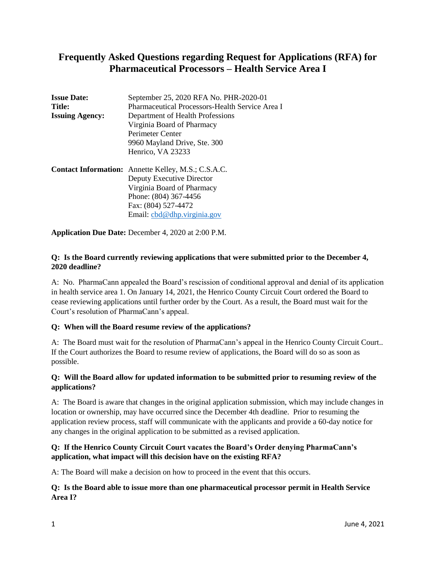# **Frequently Asked Questions regarding Request for Applications (RFA) for Pharmaceutical Processors – Health Service Area I**

| September 25, 2020 RFA No. PHR-2020-01                     |
|------------------------------------------------------------|
| Pharmaceutical Processors-Health Service Area I            |
| Department of Health Professions                           |
| Virginia Board of Pharmacy                                 |
| Perimeter Center                                           |
| 9960 Mayland Drive, Ste. 300                               |
| Henrico, VA 23233                                          |
| <b>Contact Information:</b> Annette Kelley, M.S.; C.S.A.C. |
| Deputy Executive Director                                  |
| Virginia Board of Pharmacy                                 |
| Phone: (804) 367-4456                                      |
| Fax: (804) 527-4472                                        |
| Email: cbd@dhp.virginia.gov                                |
|                                                            |

**Application Due Date:** December 4, 2020 at 2:00 P.M.

### **Q: Is the Board currently reviewing applications that were submitted prior to the December 4, 2020 deadline?**

A: No. PharmaCann appealed the Board's rescission of conditional approval and denial of its application in health service area 1. On January 14, 2021, the Henrico County Circuit Court ordered the Board to cease reviewing applications until further order by the Court. As a result, the Board must wait for the Court's resolution of PharmaCann's appeal.

## **Q: When will the Board resume review of the applications?**

A: The Board must wait for the resolution of PharmaCann's appeal in the Henrico County Circuit Court.. If the Court authorizes the Board to resume review of applications, the Board will do so as soon as possible.

### **Q: Will the Board allow for updated information to be submitted prior to resuming review of the applications?**

A: The Board is aware that changes in the original application submission, which may include changes in location or ownership, may have occurred since the December 4th deadline. Prior to resuming the application review process, staff will communicate with the applicants and provide a 60-day notice for any changes in the original application to be submitted as a revised application.

### **Q: If the Henrico County Circuit Court vacates the Board's Order denying PharmaCann's application, what impact will this decision have on the existing RFA?**

A: The Board will make a decision on how to proceed in the event that this occurs.

### **Q: Is the Board able to issue more than one pharmaceutical processor permit in Health Service Area I?**